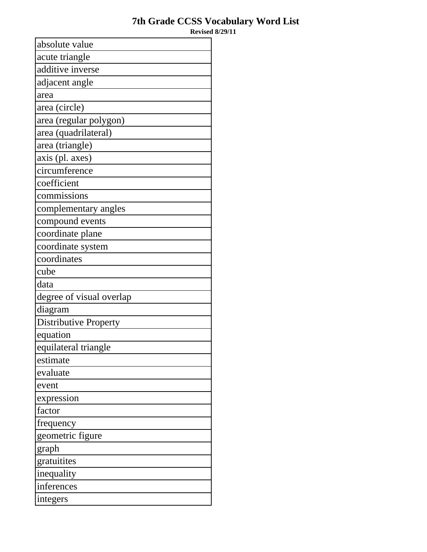## **7th Grade CCSS Vocabulary Word List**

**Revised 8/29/11**

| absolute value               |
|------------------------------|
| acute triangle               |
| additive inverse             |
| adjacent angle               |
| area                         |
| area (circle)                |
| area (regular polygon)       |
| area (quadrilateral)         |
| area (triangle)              |
| axis (pl. axes)              |
| circumference                |
| coefficient                  |
| commissions                  |
| complementary angles         |
| compound events              |
| coordinate plane             |
| coordinate system            |
| coordinates                  |
| cube                         |
| data                         |
| degree of visual overlap     |
| diagram                      |
| <b>Distributive Property</b> |
| equation                     |
| equilateral triangle         |
| estimate                     |
| evaluate                     |
| event                        |
| expression                   |
| factor                       |
| frequency                    |
| geometric figure             |
| graph                        |
| gratuitites                  |
| inequality                   |
| inferences                   |
| integers                     |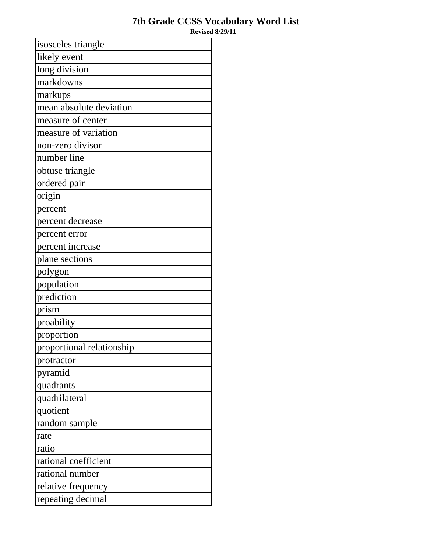## **7th Grade CCSS Vocabulary Word List**

**Revised 8/29/11**

| isosceles triangle        |
|---------------------------|
| likely event              |
| long division             |
| markdowns                 |
| markups                   |
| mean absolute deviation   |
| measure of center         |
| measure of variation      |
| non-zero divisor          |
| number line               |
| obtuse triangle           |
| ordered pair              |
| origin                    |
| percent                   |
| percent decrease          |
| percent error             |
| percent increase          |
| plane sections            |
| polygon                   |
| population                |
| prediction                |
| prism                     |
| proability                |
| proportion                |
| proportional relationship |
| protractor                |
| pyramid                   |
| quadrants                 |
| quadrilateral             |
| quotient                  |
| random sample             |
| rate                      |
| ratio                     |
| rational coefficient      |
| rational number           |
| relative frequency        |
| repeating decimal         |